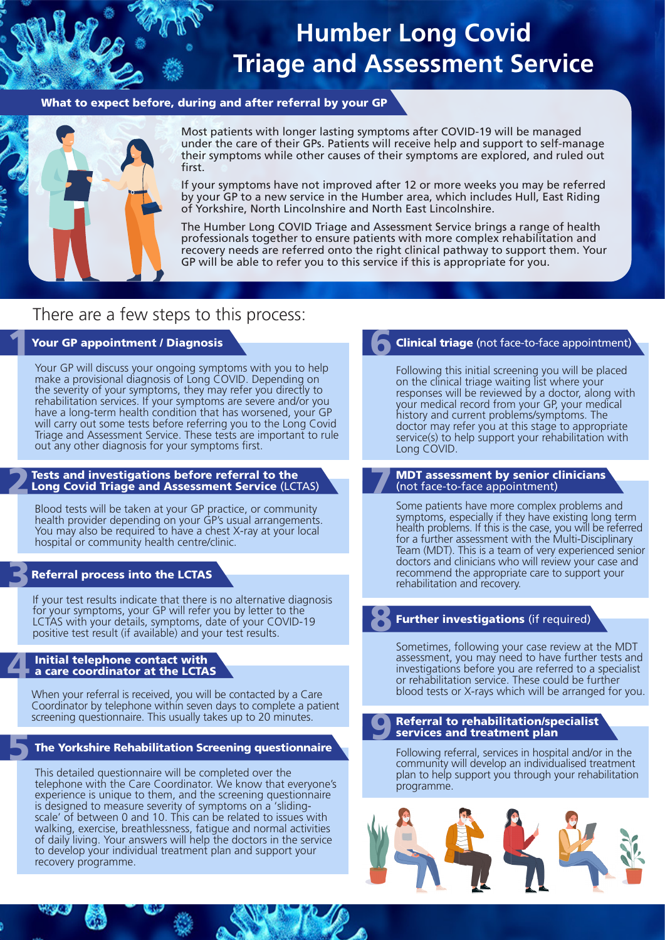# **Humber Long Covid Triage and Assessment Service**

### What to expect before, during and after referral by your GP



Most patients with longer lasting symptoms after COVID-19 will be managed under the care of their GPs. Patients will receive help and support to self-manage their symptoms while other causes of their symptoms are explored, and ruled out first.

If your symptoms have not improved after 12 or more weeks you may be referred by your GP to a new service in the Humber area, which includes Hull, East Riding of Yorkshire, North Lincolnshire and North East Lincolnshire.

The Humber Long COVID Triage and Assessment Service brings a range of health professionals together to ensure patients with more complex rehabilitation and recovery needs are referred onto the right clinical pathway to support them. Your GP will be able to refer you to this service if this is appropriate for you.

# There are a few steps to this process:

### Your GP appointment / Diagnosis

Your GP will discuss your ongoing symptoms with you to help make a provisional diagnosis of Long COVID. Depending on the severity of your symptoms, they may refer you directly to rehabilitation services. If your symptoms are severe and/or you have a long-term health condition that has worsened, your GP will carry out some tests before referring you to the Long Covid Triage and Assessment Service. These tests are important to rule out any other diagnosis for your symptoms first.

#### Tests and investigations before referral to the Long Covid Triage and Assessment Service (LCTAS)

Blood tests will be taken at your GP practice, or community health provider depending on your GP's usual arrangements. You may also be required to have a chest X-ray at your local hospital or community health centre/clinic.

## Referral process into the LCTAS

2

3

5

If your test results indicate that there is no alternative diagnosis for your symptoms, your GP will refer you by letter to the LCTAS with your details, symptoms, date of your COVID-19 positive test result (if available) and your test results.

### 4 Initial telephone contact with a care coordinator at the LCTAS

When your referral is received, you will be contacted by a Care Coordinator by telephone within seven days to complete a patient screening questionnaire. This usually takes up to 20 minutes.

### The Yorkshire Rehabilitation Screening questionnaire

This detailed questionnaire will be completed over the telephone with the Care Coordinator. We know that everyone's experience is unique to them, and the screening questionnaire is designed to measure severity of symptoms on a 'slidingscale' of between 0 and 10. This can be related to issues with walking, exercise, breathlessness, fatigue and normal activities of daily living. Your answers will help the doctors in the service to develop your individual treatment plan and support your recovery programme.

# Clinical triage (not face-to-face appointment) 6

Following this initial screening you will be placed on the clinical triage waiting list where your responses will be reviewed by a doctor, along with your medical record from your GP, your medical history and current problems/symptoms. The doctor may refer you at this stage to appropriate service(s) to help support your rehabilitation with Long COVID.

### MDT assessment by senior clinicians (not face-to-face appointment) 7

Some patients have more complex problems and symptoms, especially if they have existing long term health problems. If this is the case, you will be referred for a further assessment with the Multi-Disciplinary Team (MDT). This is a team of very experienced senior doctors and clinicians who will review your case and recommend the appropriate care to support your rehabilitation and recovery.

# **Further investigations** (if required) 8

Sometimes, following your case review at the MDT assessment, you may need to have further tests and investigations before you are referred to a specialist or rehabilitation service. These could be further blood tests or X-rays which will be arranged for you.

### Referral to rehabilitation/specialist services and treatment plan 9

Following referral, services in hospital and/or in the community will develop an individualised treatment plan to help support you through your rehabilitation programme.